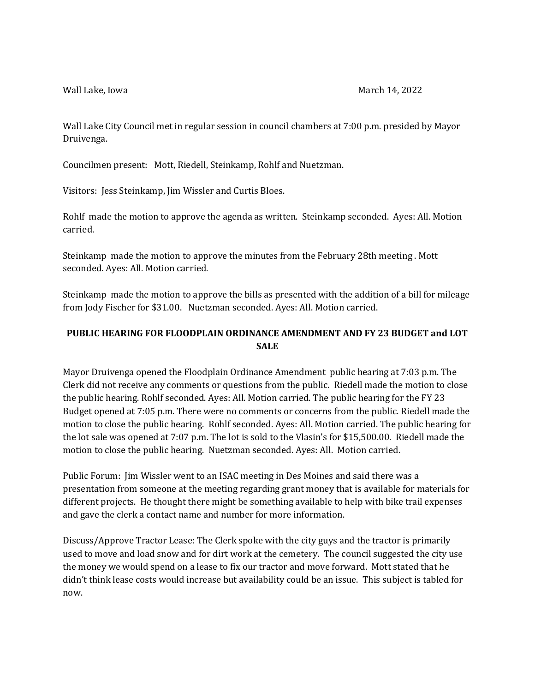Wall Lake City Council met in regular session in council chambers at 7:00 p.m. presided by Mayor Druivenga.

Councilmen present: Mott, Riedell, Steinkamp, Rohlf and Nuetzman.

Visitors: Jess Steinkamp, Jim Wissler and Curtis Bloes.

Rohlf made the motion to approve the agenda as written. Steinkamp seconded. Ayes: All. Motion carried.

Steinkamp made the motion to approve the minutes from the February 28th meeting . Mott seconded. Ayes: All. Motion carried.

Steinkamp made the motion to approve the bills as presented with the addition of a bill for mileage from Jody Fischer for \$31.00. Nuetzman seconded. Ayes: All. Motion carried.

## **PUBLIC HEARING FOR FLOODPLAIN ORDINANCE AMENDMENT AND FY 23 BUDGET and LOT SALE**

Mayor Druivenga opened the Floodplain Ordinance Amendment public hearing at 7:03 p.m. The Clerk did not receive any comments or questions from the public. Riedell made the motion to close the public hearing. Rohlf seconded. Ayes: All. Motion carried. The public hearing for the FY 23 Budget opened at 7:05 p.m. There were no comments or concerns from the public. Riedell made the motion to close the public hearing. Rohlf seconded. Ayes: All. Motion carried. The public hearing for the lot sale was opened at 7:07 p.m. The lot is sold to the Vlasin's for \$15,500.00. Riedell made the motion to close the public hearing. Nuetzman seconded. Ayes: All. Motion carried.

Public Forum: Jim Wissler went to an ISAC meeting in Des Moines and said there was a presentation from someone at the meeting regarding grant money that is available for materials for different projects. He thought there might be something available to help with bike trail expenses and gave the clerk a contact name and number for more information.

Discuss/Approve Tractor Lease: The Clerk spoke with the city guys and the tractor is primarily used to move and load snow and for dirt work at the cemetery. The council suggested the city use the money we would spend on a lease to fix our tractor and move forward. Mott stated that he didn't think lease costs would increase but availability could be an issue. This subject is tabled for now.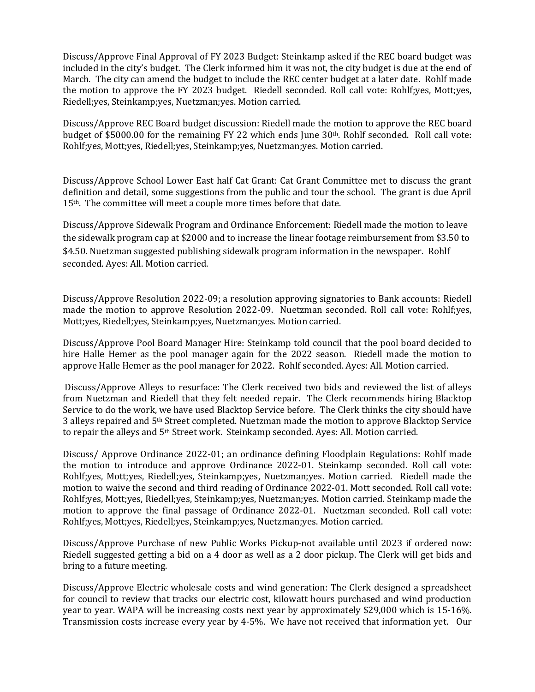Discuss/Approve Final Approval of FY 2023 Budget: Steinkamp asked if the REC board budget was included in the city's budget. The Clerk informed him it was not, the city budget is due at the end of March. The city can amend the budget to include the REC center budget at a later date. Rohlf made the motion to approve the FY 2023 budget. Riedell seconded. Roll call vote: Rohlf;yes, Mott;yes, Riedell;yes, Steinkamp;yes, Nuetzman;yes. Motion carried.

Discuss/Approve REC Board budget discussion: Riedell made the motion to approve the REC board budget of \$5000.00 for the remaining FY 22 which ends June 30th. Rohlf seconded. Roll call vote: Rohlf;yes, Mott;yes, Riedell;yes, Steinkamp;yes, Nuetzman;yes. Motion carried.

Discuss/Approve School Lower East half Cat Grant: Cat Grant Committee met to discuss the grant definition and detail, some suggestions from the public and tour the school. The grant is due April 15<sup>th</sup>. The committee will meet a couple more times before that date.

Discuss/Approve Sidewalk Program and Ordinance Enforcement: Riedell made the motion to leave the sidewalk program cap at \$2000 and to increase the linear footage reimbursement from \$3.50 to \$4.50. Nuetzman suggested publishing sidewalk program information in the newspaper. Rohlf seconded. Ayes: All. Motion carried.

Discuss/Approve Resolution 2022-09; a resolution approving signatories to Bank accounts: Riedell made the motion to approve Resolution 2022-09. Nuetzman seconded. Roll call vote: Rohlf;yes, Mott;yes, Riedell;yes, Steinkamp;yes, Nuetzman;yes. Motion carried.

Discuss/Approve Pool Board Manager Hire: Steinkamp told council that the pool board decided to hire Halle Hemer as the pool manager again for the 2022 season. Riedell made the motion to approve Halle Hemer as the pool manager for 2022. Rohlf seconded. Ayes: All. Motion carried.

Discuss/Approve Alleys to resurface: The Clerk received two bids and reviewed the list of alleys from Nuetzman and Riedell that they felt needed repair. The Clerk recommends hiring Blacktop Service to do the work, we have used Blacktop Service before. The Clerk thinks the city should have 3 alleys repaired and 5th Street completed. Nuetzman made the motion to approve Blacktop Service to repair the alleys and 5th Street work. Steinkamp seconded. Ayes: All. Motion carried.

Discuss/ Approve Ordinance 2022-01; an ordinance defining Floodplain Regulations: Rohlf made the motion to introduce and approve Ordinance 2022-01. Steinkamp seconded. Roll call vote: Rohlf;yes, Mott;yes, Riedell;yes, Steinkamp;yes, Nuetzman;yes. Motion carried. Riedell made the motion to waive the second and third reading of Ordinance 2022-01. Mott seconded. Roll call vote: Rohlf;yes, Mott;yes, Riedell;yes, Steinkamp;yes, Nuetzman;yes. Motion carried. Steinkamp made the motion to approve the final passage of Ordinance 2022-01. Nuetzman seconded. Roll call vote: Rohlf;yes, Mott;yes, Riedell;yes, Steinkamp;yes, Nuetzman;yes. Motion carried.

Discuss/Approve Purchase of new Public Works Pickup-not available until 2023 if ordered now: Riedell suggested getting a bid on a 4 door as well as a 2 door pickup. The Clerk will get bids and bring to a future meeting.

Discuss/Approve Electric wholesale costs and wind generation: The Clerk designed a spreadsheet for council to review that tracks our electric cost, kilowatt hours purchased and wind production year to year. WAPA will be increasing costs next year by approximately \$29,000 which is 15-16%. Transmission costs increase every year by 4-5%. We have not received that information yet. Our